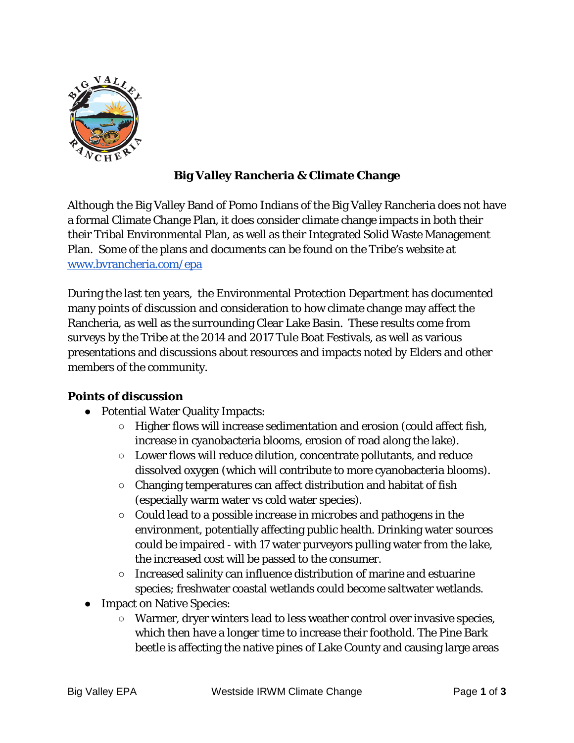

## **Big Valley Rancheria & Climate Change**

Although the Big Valley Band of Pomo Indians of the Big Valley Rancheria does not have a formal Climate Change Plan, it does consider climate change impacts in both their their Tribal Environmental Plan, as well as their Integrated Solid Waste Management Plan. Some of the plans and documents can be found on the Tribe's website at [www.bvrancheria.com/epa](http://www.bvrancheria.com/epa)

During the last ten years, the Environmental Protection Department has documented many points of discussion and consideration to how climate change may affect the Rancheria, as well as the surrounding Clear Lake Basin. These results come from surveys by the Tribe at the 2014 and 2017 Tule Boat Festivals, as well as various presentations and discussions about resources and impacts noted by Elders and other members of the community.

## **Points of discussion**

- Potential Water Quality Impacts:
	- Higher flows will increase sedimentation and erosion (could affect fish, increase in cyanobacteria blooms, erosion of road along the lake).
	- $\circ$  Lower flows will reduce dilution, concentrate pollutants, and reduce dissolved oxygen (which will contribute to more cyanobacteria blooms).
	- Changing temperatures can affect distribution and habitat of fish (especially warm water vs cold water species).
	- Could lead to a possible increase in microbes and pathogens in the environment, potentially affecting public health. Drinking water sources could be impaired - with 17 water purveyors pulling water from the lake, the increased cost will be passed to the consumer.
	- Increased salinity can influence distribution of marine and estuarine species; freshwater coastal wetlands could become saltwater wetlands.
- Impact on Native Species:
	- Warmer, dryer winters lead to less weather control over invasive species, which then have a longer time to increase their foothold. The Pine Bark beetle is affecting the native pines of Lake County and causing large areas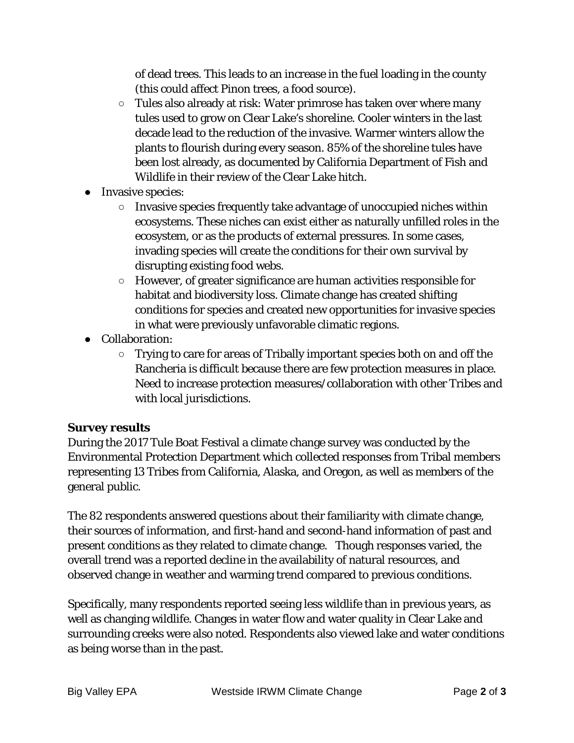of dead trees. This leads to an increase in the fuel loading in the county (this could affect Pinon trees, a food source).

- $\circ$  Tules also already at risk: Water primrose has taken over where many tules used to grow on Clear Lake's shoreline. Cooler winters in the last decade lead to the reduction of the invasive. Warmer winters allow the plants to flourish during every season. 85% of the shoreline tules have been lost already, as documented by California Department of Fish and Wildlife in their review of the Clear Lake hitch.
- Invasive species:
	- Invasive species frequently take advantage of unoccupied niches within ecosystems. These niches can exist either as naturally unfilled roles in the ecosystem, or as the products of external pressures. In some cases, invading species will create the conditions for their own survival by disrupting existing food webs.
	- However, of greater significance are human activities responsible for habitat and biodiversity loss. Climate change has created shifting conditions for species and created new opportunities for invasive species in what were previously unfavorable climatic regions.
- Collaboration:
	- Trying to care for areas of Tribally important species both on and off the Rancheria is difficult because there are few protection measures in place. Need to increase protection measures/collaboration with other Tribes and with local jurisdictions.

## **Survey results**

During the 2017 Tule Boat Festival a climate change survey was conducted by the Environmental Protection Department which collected responses from Tribal members representing 13 Tribes from California, Alaska, and Oregon, as well as members of the general public.

The 82 respondents answered questions about their familiarity with climate change, their sources of information, and first-hand and second-hand information of past and present conditions as they related to climate change. Though responses varied, the overall trend was a reported decline in the availability of natural resources, and observed change in weather and warming trend compared to previous conditions.

Specifically, many respondents reported seeing less wildlife than in previous years, as well as changing wildlife. Changes in water flow and water quality in Clear Lake and surrounding creeks were also noted. Respondents also viewed lake and water conditions as being worse than in the past.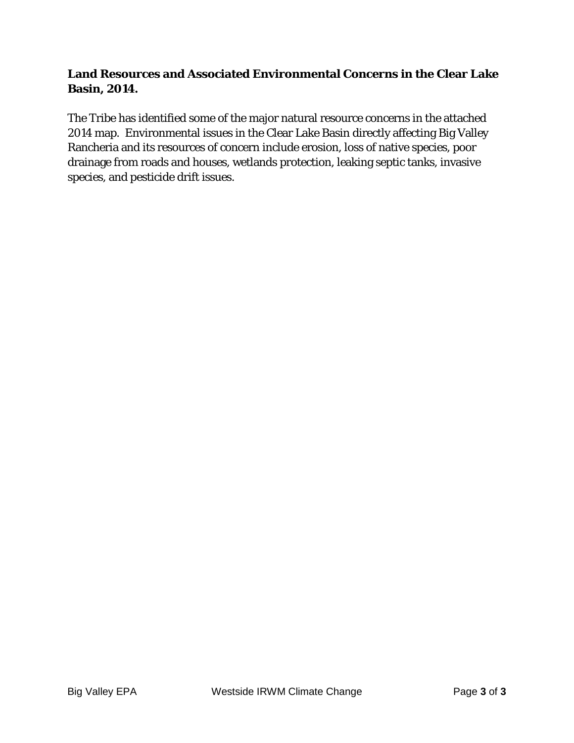## **Land Resources and Associated Environmental Concerns in the Clear Lake Basin, 2014.**

The Tribe has identified some of the major natural resource concerns in the attached 2014 map. Environmental issues in the Clear Lake Basin directly affecting Big Valley Rancheria and its resources of concern include erosion, loss of native species, poor drainage from roads and houses, wetlands protection, leaking septic tanks, invasive species, and pesticide drift issues.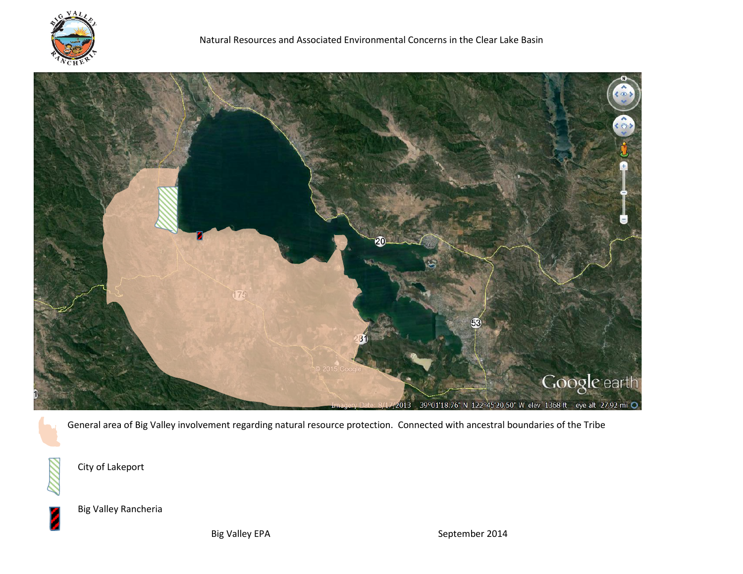



General area of Big Valley involvement regarding natural resource protection. Connected with ancestral boundaries of the Tribe

City of Lakeport





Big Valley Rancheria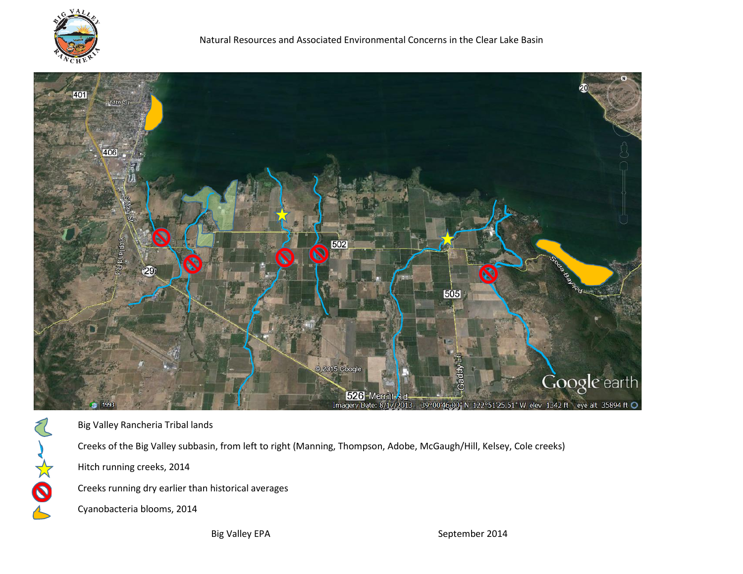

Oxx



Big Valley Rancheria Tribal lands Creeks of the Big Valley subbasin, from left to right (Manning, Thompson, Adobe, McGaugh/Hill, Kelsey, Cole creeks) Hitch running creeks, 2014 Creeks running dry earlier than historical averages Cyanobacteria blooms, 2014